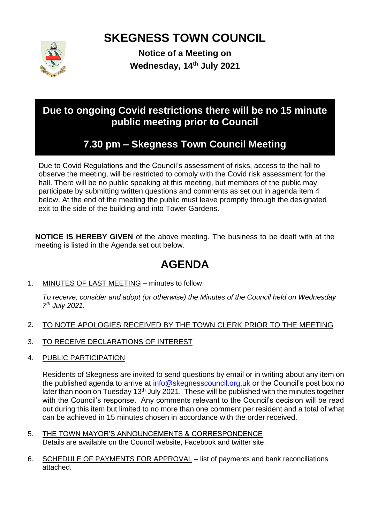# **SKEGNESS TOWN COUNCIL**



**Notice of a Meeting on Wednesday, 14th July 2021**

### **Due to ongoing Covid restrictions there will be no 15 minute public meeting prior to Council**

## **7.30 pm – Skegness Town Council Meeting**

Due to Covid Regulations and the Council's assessment of risks, access to the hall to observe the meeting, will be restricted to comply with the Covid risk assessment for the hall. There will be no public speaking at this meeting, but members of the public may participate by submitting written questions and comments as set out in agenda item 4 below. At the end of the meeting the public must leave promptly through the designated exit to the side of the building and into Tower Gardens.

**NOTICE IS HEREBY GIVEN** of the above meeting. The business to be dealt with at the meeting is listed in the Agenda set out below.

## **AGENDA**

1. MINUTES OF LAST MEETING – minutes to follow.

*To receive, consider and adopt (or otherwise) the Minutes of the Council held on Wednesday 7 th July 2021.*

- 2. TO NOTE APOLOGIES RECEIVED BY THE TOWN CLERK PRIOR TO THE MEETING
- 3. TO RECEIVE DECLARATIONS OF INTEREST
- 4. PUBLIC PARTICIPATION

Residents of Skegness are invited to send questions by email or in writing about any item on the published agenda to arrive at [info@skegnesscouncil.org,uk](mailto:info@skegnesscouncil.org,uk) or the Council's post box no later than noon on Tuesday 13<sup>th</sup> July 2021. These will be published with the minutes together with the Council's response. Any comments relevant to the Council's decision will be read out during this item but limited to no more than one comment per resident and a total of what can be achieved in 15 minutes chosen in accordance with the order received.

- 5. THE TOWN MAYOR'S ANNOUNCEMENTS & CORRESPONDENCE Details are available on the Council website, Facebook and twitter site.
- 6. SCHEDULE OF PAYMENTS FOR APPROVAL list of payments and bank reconciliations attached.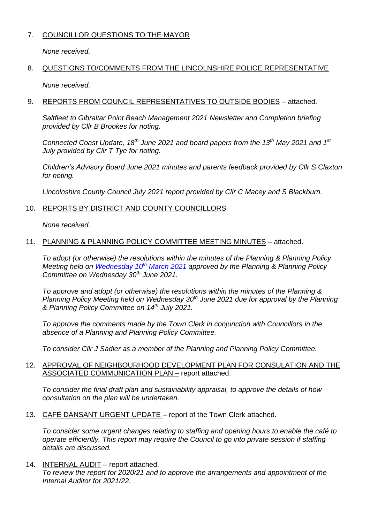#### 7. COUNCILLOR QUESTIONS TO THE MAYOR

*None received.*

### 8. QUESTIONS TO/COMMENTS FROM THE LINCOLNSHIRE POLICE REPRESENTATIVE

*None received.*

#### 9. REPORTS FROM COUNCIL REPRESENTATIVES TO OUTSIDE BODIES – attached.

*Saltfleet to Gibraltar Point Beach Management 2021 Newsletter and Completion briefing provided by Cllr B Brookes for noting.*

*Connected Coast Update, 18th June 2021 and board papers from the 13th May 2021 and 1st July provided by Cllr T Tye for noting.*

*Children's Advisory Board June 2021 minutes and parents feedback provided by Cllr S Claxton for noting.*

*Lincolnshire County Council July 2021 report provided by Cllr C Macey and S Blackburn.*

#### 10. REPORTS BY DISTRICT AND COUNTY COUNCILLORS

*None received.*

#### 11. PLANNING & PLANNING POLICY COMMITTEE MEETING MINUTES – attached.

*To adopt (or otherwise) the resolutions within the minutes of the Planning & Planning Policy Meeting held on [Wednesday](https://www.skegness.gov.uk/uploads/minsdraft-planning-pp-2021-03-10.pdf) 10th March 2021 approved by the Planning & Planning Policy Committee on Wednesday 30th June 2021.*

*To approve and adopt (or otherwise) the resolutions within the minutes of the Planning & Planning Policy Meeting held on Wednesday 30th June 2021 due for approval by the Planning & Planning Policy Committee on 14th July 2021.*

*To approve the comments made by the Town Clerk in conjunction with Councillors in the absence of a Planning and Planning Policy Committee.*

*To consider Cllr J Sadler as a member of the Planning and Planning Policy Committee.*

#### 12. APPROVAL OF NEIGHBOURHOOD DEVELOPMENT PLAN FOR CONSULATION AND THE ASSOCIATED COMMUNICATION PLAN – report attached.

*To consider the final draft plan and sustainability appraisal, to approve the details of how consultation on the plan will be undertaken.*

13. CAFÉ DANSANT URGENT UPDATE – report of the Town Clerk attached.

*To consider some urgent changes relating to staffing and opening hours to enable the café to operate efficiently. This report may require the Council to go into private session if staffing details are discussed.*

14. **INTERNAL AUDIT** – report attached.

*To review the report for 2020/21 and to approve the arrangements and appointment of the Internal Auditor for 2021/22.*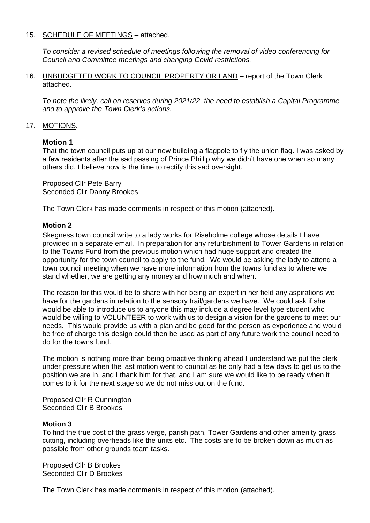#### 15. SCHEDULE OF MEETINGS - attached.

*To consider a revised schedule of meetings following the removal of video conferencing for Council and Committee meetings and changing Covid restrictions.*

16. UNBUDGETED WORK TO COUNCIL PROPERTY OR LAND – report of the Town Clerk attached.

*To note the likely, call on reserves during 2021/22, the need to establish a Capital Programme and to approve the Town Clerk's actions.*

#### 17. MOTIONS.

#### **Motion 1**

That the town council puts up at our new building a flagpole to fly the union flag. I was asked by a few residents after the sad passing of Prince Phillip why we didn't have one when so many others did. I believe now is the time to rectify this sad oversight.

Proposed Cllr Pete Barry Seconded Cllr Danny Brookes

The Town Clerk has made comments in respect of this motion (attached).

#### **Motion 2**

Skegness town council write to a lady works for Riseholme college whose details I have provided in a separate email. In preparation for any refurbishment to Tower Gardens in relation to the Towns Fund from the previous motion which had huge support and created the opportunity for the town council to apply to the fund. We would be asking the lady to attend a town council meeting when we have more information from the towns fund as to where we stand whether, we are getting any money and how much and when.

The reason for this would be to share with her being an expert in her field any aspirations we have for the gardens in relation to the sensory trail/gardens we have. We could ask if she would be able to introduce us to anyone this may include a degree level type student who would be willing to VOLUNTEER to work with us to design a vision for the gardens to meet our needs. This would provide us with a plan and be good for the person as experience and would be free of charge this design could then be used as part of any future work the council need to do for the towns fund.

The motion is nothing more than being proactive thinking ahead I understand we put the clerk under pressure when the last motion went to council as he only had a few days to get us to the position we are in, and I thank him for that, and I am sure we would like to be ready when it comes to it for the next stage so we do not miss out on the fund.

Proposed Cllr R Cunnington Seconded Cllr B Brookes

#### **Motion 3**

To find the true cost of the grass verge, parish path, Tower Gardens and other amenity grass cutting, including overheads like the units etc. The costs are to be broken down as much as possible from other grounds team tasks.

Proposed Cllr B Brookes Seconded Cllr D Brookes

The Town Clerk has made comments in respect of this motion (attached).